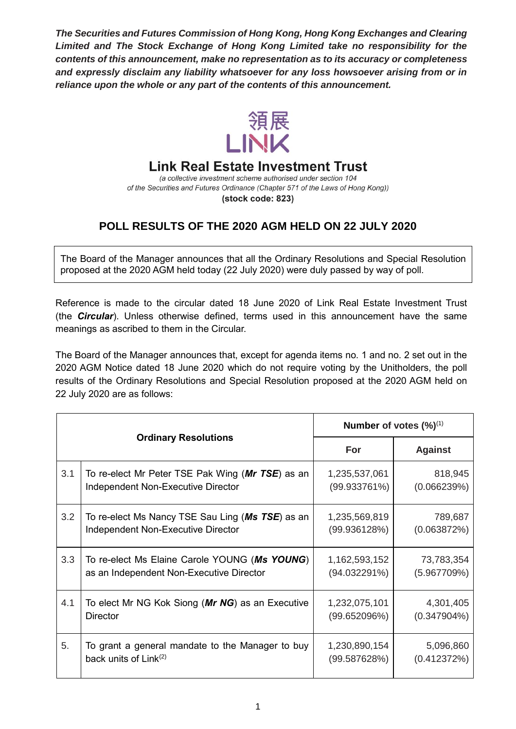*The Securities and Futures Commission of Hong Kong, Hong Kong Exchanges and Clearing Limited and The Stock Exchange of Hong Kong Limited take no responsibility for the contents of this announcement, make no representation as to its accuracy or completeness and expressly disclaim any liability whatsoever for any loss howsoever arising from or in reliance upon the whole or any part of the contents of this announcement.*



## **Link Real Estate Investment Trust**

(a collective investment scheme authorised under section 104 of the Securities and Futures Ordinance (Chapter 571 of the Laws of Hong Kong)) (stock code: 823)

## **POLL RESULTS OF THE 2020 AGM HELD ON 22 JULY 2020**

The Board of the Manager announces that all the Ordinary Resolutions and Special Resolution proposed at the 2020 AGM held today (22 July 2020) were duly passed by way of poll.

Reference is made to the circular dated 18 June 2020 of Link Real Estate Investment Trust (the *Circular*). Unless otherwise defined, terms used in this announcement have the same meanings as ascribed to them in the Circular.

The Board of the Manager announces that, except for agenda items no. 1 and no. 2 set out in the 2020 AGM Notice dated 18 June 2020 which do not require voting by the Unitholders, the poll results of the Ordinary Resolutions and Special Resolution proposed at the 2020 AGM held on 22 July 2020 are as follows:

| <b>Ordinary Resolutions</b> |                                                  | Number of votes $(\frac{9}{6})^{(1)}$ |                |
|-----------------------------|--------------------------------------------------|---------------------------------------|----------------|
|                             |                                                  | For                                   | <b>Against</b> |
| 3.1                         | To re-elect Mr Peter TSE Pak Wing (Mr TSE) as an | 1,235,537,061                         | 818,945        |
|                             | Independent Non-Executive Director               | $(99.933761\%)$                       | (0.066239%)    |
| 3.2                         | To re-elect Ms Nancy TSE Sau Ling (Ms TSE) as an | 1,235,569,819                         | 789,687        |
|                             | Independent Non-Executive Director               | (99.936128%)                          | (0.063872%)    |
| 3.3                         | To re-elect Ms Elaine Carole YOUNG (Ms YOUNG)    | 1,162,593,152                         | 73,783,354     |
|                             | as an Independent Non-Executive Director         | (94.032291%)                          | (5.967709%)    |
| 4.1                         | To elect Mr NG Kok Siong (Mr NG) as an Executive | 1,232,075,101                         | 4,301,405      |
|                             | <b>Director</b>                                  | (99.652096%)                          | $(0.347904\%)$ |
| 5.                          | To grant a general mandate to the Manager to buy | 1,230,890,154                         | 5,096,860      |
|                             | back units of $Link^{(2)}$                       | (99.587628%)                          | (0.412372%)    |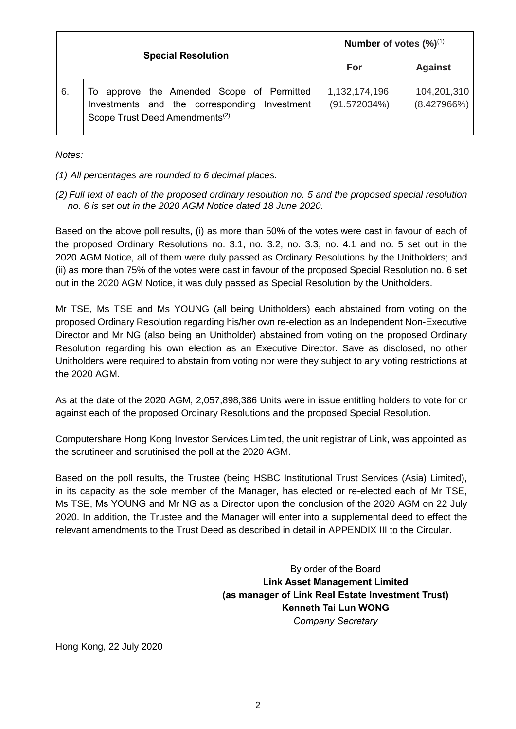| <b>Special Resolution</b> |                                                                                                                                         | Number of votes $(\%)^{(1)}$  |                            |
|---------------------------|-----------------------------------------------------------------------------------------------------------------------------------------|-------------------------------|----------------------------|
|                           |                                                                                                                                         | For                           | <b>Against</b>             |
| 6.                        | To approve the Amended Scope of Permitted<br>Investments and the corresponding Investment<br>Scope Trust Deed Amendments <sup>(2)</sup> | 1,132,174,196<br>(91.572034%) | 104,201,310<br>(8.427966%) |

*Notes:*

*(1) All percentages are rounded to 6 decimal places.*

*(2) Full text of each of the proposed ordinary resolution no. 5 and the proposed special resolution no. 6 is set out in the 2020 AGM Notice dated 18 June 2020.*

Based on the above poll results, (i) as more than 50% of the votes were cast in favour of each of the proposed Ordinary Resolutions no. 3.1, no. 3.2, no. 3.3, no. 4.1 and no. 5 set out in the 2020 AGM Notice, all of them were duly passed as Ordinary Resolutions by the Unitholders; and (ii) as more than 75% of the votes were cast in favour of the proposed Special Resolution no. 6 set out in the 2020 AGM Notice, it was duly passed as Special Resolution by the Unitholders.

Mr TSE, Ms TSE and Ms YOUNG (all being Unitholders) each abstained from voting on the proposed Ordinary Resolution regarding his/her own re-election as an Independent Non-Executive Director and Mr NG (also being an Unitholder) abstained from voting on the proposed Ordinary Resolution regarding his own election as an Executive Director. Save as disclosed, no other Unitholders were required to abstain from voting nor were they subject to any voting restrictions at the 2020 AGM.

As at the date of the 2020 AGM, 2,057,898,386 Units were in issue entitling holders to vote for or against each of the proposed Ordinary Resolutions and the proposed Special Resolution.

Computershare Hong Kong Investor Services Limited, the unit registrar of Link, was appointed as the scrutineer and scrutinised the poll at the 2020 AGM.

Based on the poll results, the Trustee (being HSBC Institutional Trust Services (Asia) Limited), in its capacity as the sole member of the Manager, has elected or re-elected each of Mr TSE, Ms TSE, Ms YOUNG and Mr NG as a Director upon the conclusion of the 2020 AGM on 22 July 2020. In addition, the Trustee and the Manager will enter into a supplemental deed to effect the relevant amendments to the Trust Deed as described in detail in APPENDIX III to the Circular.

> By order of the Board **Link Asset Management Limited (as manager of Link Real Estate Investment Trust) Kenneth Tai Lun WONG** *Company Secretary*

Hong Kong, 22 July 2020